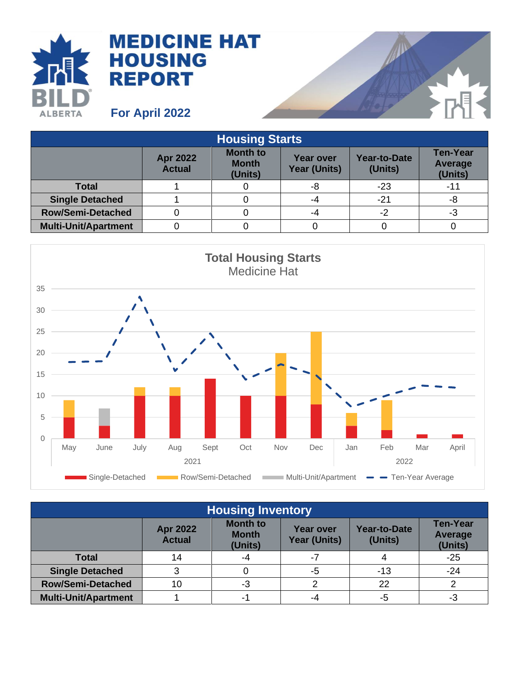

## **MEDICINE HAT HOUSING REPORT**

**For April 2022**

| <b>Housing Starts</b>       |                           |                                            |                                         |                                |                                       |  |  |  |
|-----------------------------|---------------------------|--------------------------------------------|-----------------------------------------|--------------------------------|---------------------------------------|--|--|--|
|                             | Apr 2022<br><b>Actual</b> | <b>Month to</b><br><b>Month</b><br>(Units) | <b>Year over</b><br><b>Year (Units)</b> | <b>Year-to-Date</b><br>(Units) | <b>Ten-Year</b><br>Average<br>(Units) |  |  |  |
| <b>Total</b>                |                           |                                            | -8                                      | $-23$                          | -11                                   |  |  |  |
| <b>Single Detached</b>      |                           |                                            | -4                                      | $-21$                          | -8                                    |  |  |  |
| <b>Row/Semi-Detached</b>    |                           |                                            | -4                                      | $-2$                           | -3                                    |  |  |  |
| <b>Multi-Unit/Apartment</b> |                           |                                            |                                         |                                |                                       |  |  |  |



| <b>Housing Inventory</b>    |                                  |                                            |                                         |                                |                                       |  |  |  |
|-----------------------------|----------------------------------|--------------------------------------------|-----------------------------------------|--------------------------------|---------------------------------------|--|--|--|
|                             | <b>Apr 2022</b><br><b>Actual</b> | <b>Month to</b><br><b>Month</b><br>(Units) | <b>Year over</b><br><b>Year (Units)</b> | <b>Year-to-Date</b><br>(Units) | <b>Ten-Year</b><br>Average<br>(Units) |  |  |  |
| <b>Total</b>                | 14                               | -4                                         | $-7$                                    |                                | $-25$                                 |  |  |  |
| <b>Single Detached</b>      | ≏                                |                                            | -5                                      | $-13$                          | $-24$                                 |  |  |  |
| <b>Row/Semi-Detached</b>    | 10                               | -3                                         | 2                                       | 22                             |                                       |  |  |  |
| <b>Multi-Unit/Apartment</b> |                                  | -1                                         | -4                                      | -5                             | -3                                    |  |  |  |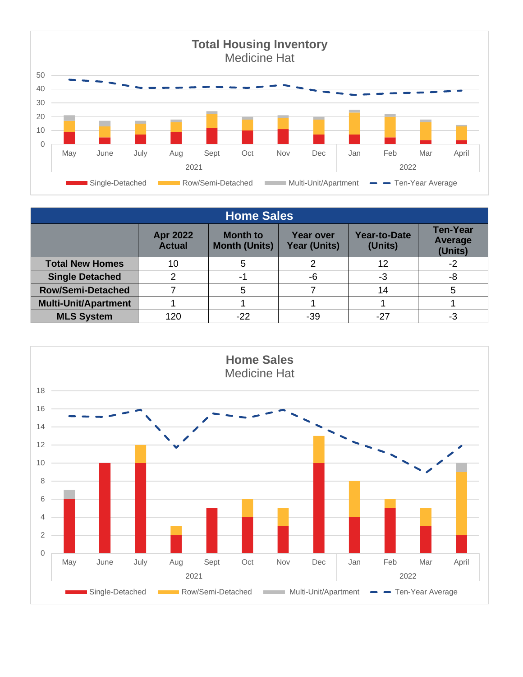

| <b>Home Sales</b>           |                                  |                                         |                                         |                                |                                       |  |  |  |
|-----------------------------|----------------------------------|-----------------------------------------|-----------------------------------------|--------------------------------|---------------------------------------|--|--|--|
|                             | <b>Apr 2022</b><br><b>Actual</b> | <b>Month to</b><br><b>Month (Units)</b> | <b>Year over</b><br><b>Year (Units)</b> | <b>Year-to-Date</b><br>(Units) | <b>Ten-Year</b><br>Average<br>(Units) |  |  |  |
| <b>Total New Homes</b>      | 10                               | 5                                       |                                         | 12                             | -2                                    |  |  |  |
| <b>Single Detached</b>      |                                  | -1                                      | -6                                      | -3                             | -8                                    |  |  |  |
| <b>Row/Semi-Detached</b>    |                                  | 5                                       |                                         | 14                             |                                       |  |  |  |
| <b>Multi-Unit/Apartment</b> |                                  |                                         |                                         |                                |                                       |  |  |  |
| <b>MLS System</b>           | 120                              | $-22$                                   | -39                                     | $-27$                          | -3                                    |  |  |  |